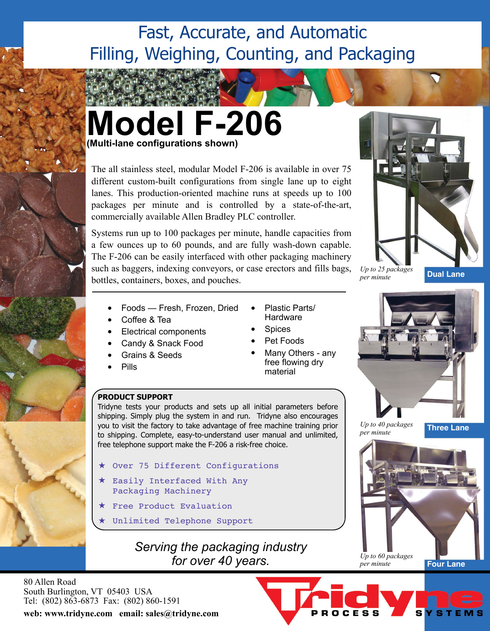# Fast, Accurate, and Automatic Filling, Weighing, Counting, and Packaging



The all stainless steel, modular Model F-206 is available in over 75 different custom-built configurations from single lane up to eight lanes. This production-oriented machine runs at speeds up to 100 packages per minute and is controlled by a state-of-the-art, commercially available Allen Bradley PLC controller.

Systems run up to 100 packages per minute, handle capacities from a few ounces up to 60 pounds, and are fully wash-down capable. The F-206 can be easily interfaced with other packaging machinery such as baggers, indexing conveyors, or case erectors and fills bags, bottles, containers, boxes, and pouches.

- Foods Fresh, Frozen, Dried
- Coffee & Tea
- Electrical components
- Candy & Snack Food
- Grains & Seeds
- Pills
- **PRODUCT SUPPORT**

Tridyne tests your products and sets up all initial parameters before shipping. Simply plug the system in and run. Tridyne also encourages you to visit the factory to take advantage of free machine training prior to shipping. Complete, easy-to-understand user manual and unlimited, free telephone support make the F-206 a risk-free choice.

- Over 75 Different Configurations
- Easily Interfaced With Any Packaging Machinery
- Free Product Evaluation
- Unlimited Telephone Support

# *Serving the packaging industry for over 40 years.*

80 Allen Road South Burlington, VT 05403 USA Tel: (802) 863-6873 Fax: (802) 860-1591

**web: www.tridyne.com email: sales@tridyne.com**



*Up to 25 packages per minute*

**Dual Lane**

• Plastic Parts/ **Hardware Spices** 

- Pet Foods
- Many Others anv free flowing dry material



*per minute*

OCESS

**Three Lane**